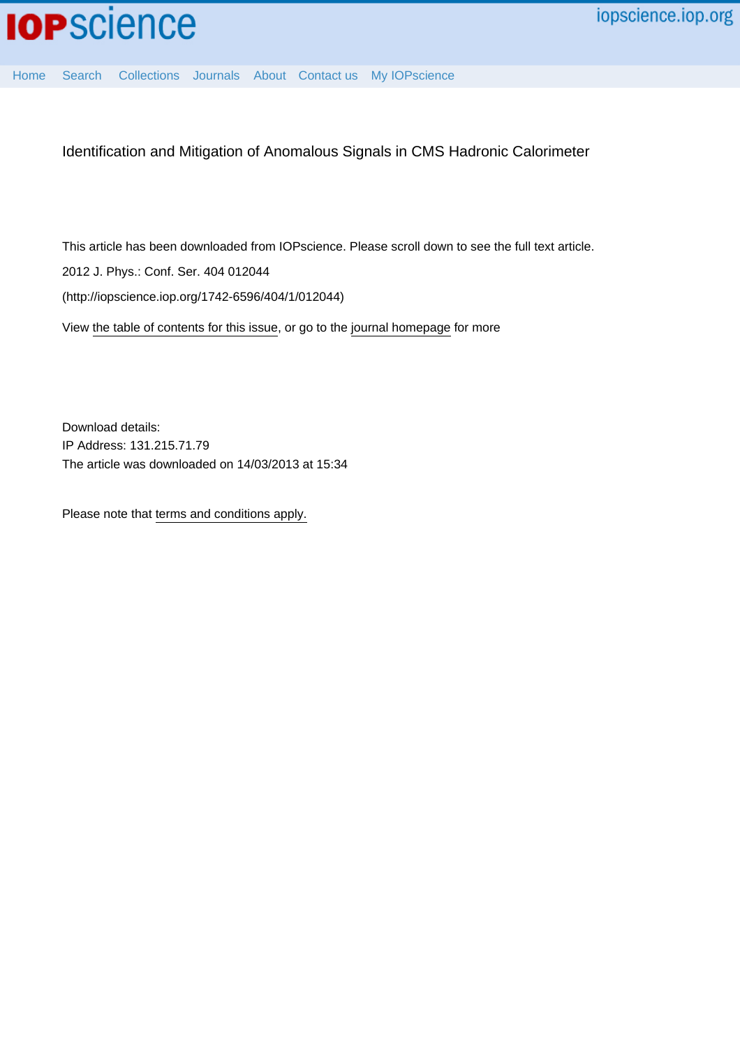

[Home](http://iopscience.iop.org/) [Search](http://iopscience.iop.org/search) [Collections](http://iopscience.iop.org/collections) [Journals](http://iopscience.iop.org/journals) [About](http://iopscience.iop.org/page/aboutioppublishing) [Contact us](http://iopscience.iop.org/contact) [My IOPscience](http://iopscience.iop.org/myiopscience)

Identification and Mitigation of Anomalous Signals in CMS Hadronic Calorimeter

This article has been downloaded from IOPscience. Please scroll down to see the full text article. 2012 J. Phys.: Conf. Ser. 404 012044 (http://iopscience.iop.org/1742-6596/404/1/012044) View [the table of contents for this issue](http://iopscience.iop.org/1742-6596/404/1), or go to the [journal homepage](http://iopscience.iop.org/1742-6596) for more

Download details: IP Address: 131.215.71.79 The article was downloaded on 14/03/2013 at 15:34

Please note that [terms and conditions apply.](http://iopscience.iop.org/page/terms)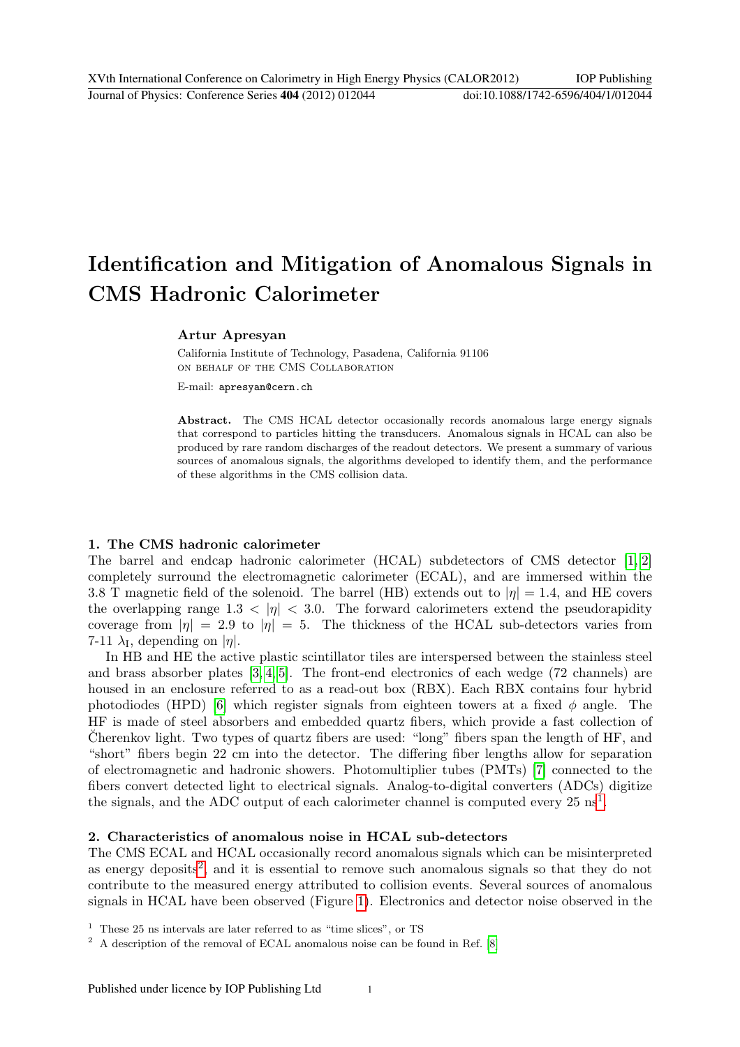# Identification and Mitigation of Anomalous Signals in CMS Hadronic Calorimeter

## Artur Apresyan

California Institute of Technology, Pasadena, California 91106 on behalf of the CMS Collaboration

E-mail: apresyan@cern.ch

Abstract. The CMS HCAL detector occasionally records anomalous large energy signals that correspond to particles hitting the transducers. Anomalous signals in HCAL can also be produced by rare random discharges of the readout detectors. We present a summary of various sources of anomalous signals, the algorithms developed to identify them, and the performance of these algorithms in the CMS collision data.

#### 1. The CMS hadronic calorimeter

The barrel and endcap hadronic calorimeter (HCAL) subdetectors of CMS detector [\[1,](#page-6-0) [2\]](#page-6-1) completely surround the electromagnetic calorimeter (ECAL), and are immersed within the 3.8 T magnetic field of the solenoid. The barrel (HB) extends out to  $|\eta| = 1.4$ , and HE covers the overlapping range 1.3  $\langle \eta | \times 3.0$ . The forward calorimeters extend the pseudorapidity coverage from  $|\eta| = 2.9$  to  $|\eta| = 5$ . The thickness of the HCAL sub-detectors varies from 7-11  $\lambda_{\rm I}$ , depending on  $|\eta|$ .

In HB and HE the active plastic scintillator tiles are interspersed between the stainless steel and brass absorber plates [\[3,](#page-6-2) [4,](#page-6-3) [5\]](#page-6-4). The front-end electronics of each wedge (72 channels) are housed in an enclosure referred to as a read-out box (RBX). Each RBX contains four hybrid photodiodes (HPD) [\[6\]](#page-6-5) which register signals from eighteen towers at a fixed  $\phi$  angle. The HF is made of steel absorbers and embedded quartz fibers, which provide a fast collection of Cherenkov light. Two types of quartz fibers are used: "long" fibers span the length of  $HF$ , and "short" fibers begin 22 cm into the detector. The differing fiber lengths allow for separation of electromagnetic and hadronic showers. Photomultiplier tubes (PMTs) [\[7\]](#page-6-6) connected to the fibers convert detected light to electrical signals. Analog-to-digital converters (ADCs) digitize the signals, and the ADC output of each calorimeter channel is computed every  $25 \text{ ns}^1$  $25 \text{ ns}^1$ .

### 2. Characteristics of anomalous noise in HCAL sub-detectors

The CMS ECAL and HCAL occasionally record anomalous signals which can be misinterpreted as energy deposits<sup>[2](#page-1-1)</sup>, and it is essential to remove such anomalous signals so that they do not contribute to the measured energy attributed to collision events. Several sources of anomalous signals in HCAL have been observed (Figure [1\)](#page-2-0). Electronics and detector noise observed in the

<span id="page-1-0"></span> $1$  These 25 ns intervals are later referred to as "time slices", or TS

<span id="page-1-1"></span><sup>2</sup> A description of the removal of ECAL anomalous noise can be found in Ref. [\[8\]](#page-6-7)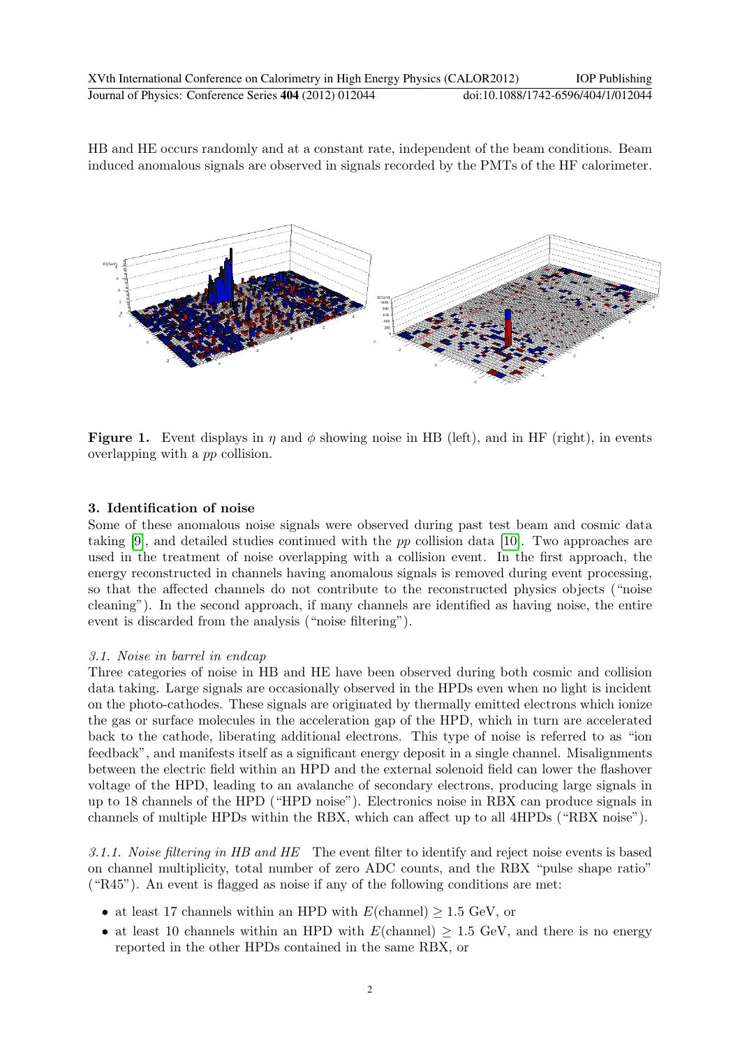HB and HE occurs randomly and at a constant rate, independent of the beam conditions. Beam induced anomalous signals are observed in signals recorded by the PMTs of the HF calorimeter.



<span id="page-2-0"></span>**Figure 1.** Event displays in  $\eta$  and  $\phi$  showing noise in HB (left), and in HF (right), in events overlapping with a pp collision.

# 3. Identification of noise

Some of these anomalous noise signals were observed during past test beam and cosmic data taking [\[9\]](#page-6-8), and detailed studies continued with the pp collision data [\[10\]](#page-6-9). Two approaches are used in the treatment of noise overlapping with a collision event. In the first approach, the energy reconstructed in channels having anomalous signals is removed during event processing, so that the affected channels do not contribute to the reconstructed physics objects ("noise cleaning"). In the second approach, if many channels are identified as having noise, the entire event is discarded from the analysis ("noise filtering").

## 3.1. Noise in barrel in endcap

Three categories of noise in HB and HE have been observed during both cosmic and collision data taking. Large signals are occasionally observed in the HPDs even when no light is incident on the photo-cathodes. These signals are originated by thermally emitted electrons which ionize the gas or surface molecules in the acceleration gap of the HPD, which in turn are accelerated back to the cathode, liberating additional electrons. This type of noise is referred to as "ion feedback", and manifests itself as a significant energy deposit in a single channel. Misalignments between the electric field within an HPD and the external solenoid field can lower the flashover voltage of the HPD, leading to an avalanche of secondary electrons, producing large signals in up to 18 channels of the HPD ("HPD noise"). Electronics noise in RBX can produce signals in channels of multiple HPDs within the RBX, which can affect up to all 4HPDs ("RBX noise").

<span id="page-2-1"></span>3.1.1. Noise filtering in HB and HE The event filter to identify and reject noise events is based on channel multiplicity, total number of zero ADC counts, and the RBX "pulse shape ratio" ("R45"). An event is flagged as noise if any of the following conditions are met:

- at least 17 channels within an HPD with  $E(\text{channel}) > 1.5 \text{ GeV}$ , or
- at least 10 channels within an HPD with  $E(\text{channel}) \geq 1.5 \text{ GeV}$ , and there is no energy reported in the other HPDs contained in the same RBX, or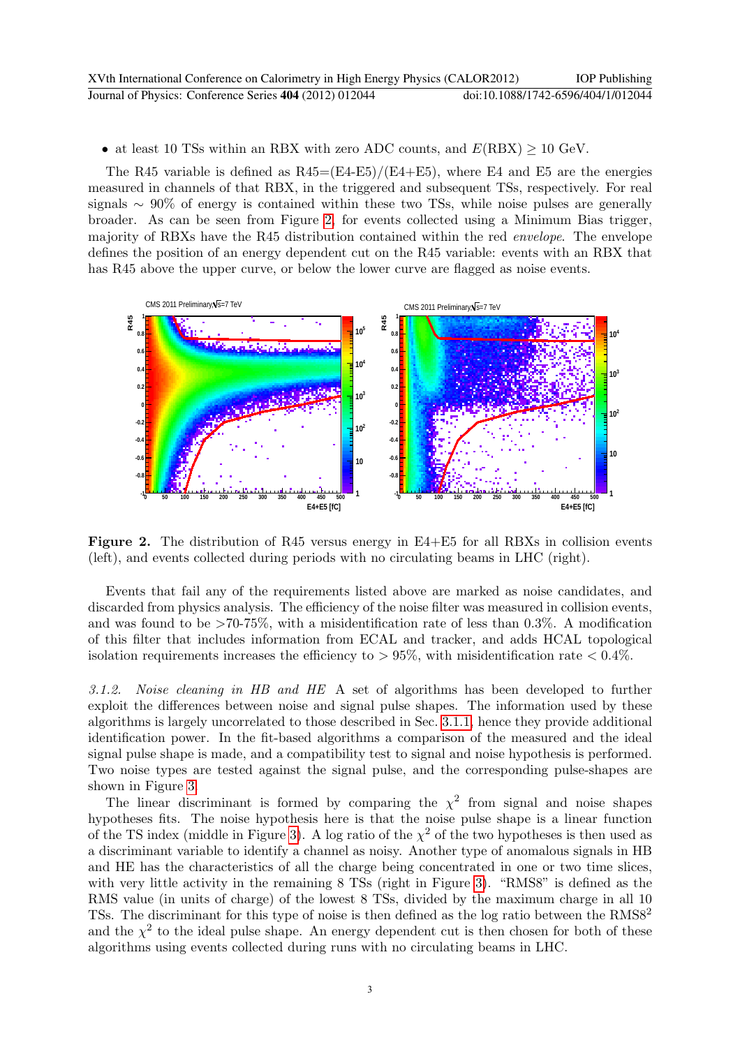| XVth International Conference on Calorimetry in High Energy Physics (CALOR2012) | <b>IOP</b> Publishing              |
|---------------------------------------------------------------------------------|------------------------------------|
| Journal of Physics: Conference Series 404 (2012) 012044                         | doi:10.1088/1742-6596/404/1/012044 |

• at least 10 TSs within an RBX with zero ADC counts, and  $E(RBX) \ge 10$  GeV.

The R45 variable is defined as  $R45=(E4-E5)/(E4+E5)$ , where E4 and E5 are the energies measured in channels of that RBX, in the triggered and subsequent TSs, respectively. For real signals ∼ 90% of energy is contained within these two TSs, while noise pulses are generally broader. As can be seen from Figure [2,](#page-3-0) for events collected using a Minimum Bias trigger, majority of RBXs have the R45 distribution contained within the red envelope. The envelope defines the position of an energy dependent cut on the R45 variable: events with an RBX that has R45 above the upper curve, or below the lower curve are flagged as noise events.



<span id="page-3-0"></span>Figure 2. The distribution of R45 versus energy in E4+E5 for all RBXs in collision events (left), and events collected during periods with no circulating beams in LHC (right).

Events that fail any of the requirements listed above are marked as noise candidates, and discarded from physics analysis. The efficiency of the noise filter was measured in collision events, and was found to be  $>70-75\%$ , with a misidentification rate of less than 0.3%. A modification of this filter that includes information from ECAL and tracker, and adds HCAL topological isolation requirements increases the efficiency to  $> 95\%$ , with misidentification rate  $< 0.4\%$ .

3.1.2. Noise cleaning in HB and HE A set of algorithms has been developed to further exploit the differences between noise and signal pulse shapes. The information used by these algorithms is largely uncorrelated to those described in Sec. [3.1.1,](#page-2-1) hence they provide additional identification power. In the fit-based algorithms a comparison of the measured and the ideal signal pulse shape is made, and a compatibility test to signal and noise hypothesis is performed. Two noise types are tested against the signal pulse, and the corresponding pulse-shapes are shown in Figure [3.](#page-4-0)

The linear discriminant is formed by comparing the  $\chi^2$  from signal and noise shapes hypotheses fits. The noise hypothesis here is that the noise pulse shape is a linear function of the TS index (middle in Figure [3\)](#page-4-0). A log ratio of the  $\chi^2$  of the two hypotheses is then used as a discriminant variable to identify a channel as noisy. Another type of anomalous signals in HB and HE has the characteristics of all the charge being concentrated in one or two time slices, with very little activity in the remaining 8 TSs (right in Figure [3\)](#page-4-0). "RMS8" is defined as the RMS value (in units of charge) of the lowest 8 TSs, divided by the maximum charge in all 10 TSs. The discriminant for this type of noise is then defined as the log ratio between the RMS8<sup>2</sup> and the  $\chi^2$  to the ideal pulse shape. An energy dependent cut is then chosen for both of these algorithms using events collected during runs with no circulating beams in LHC.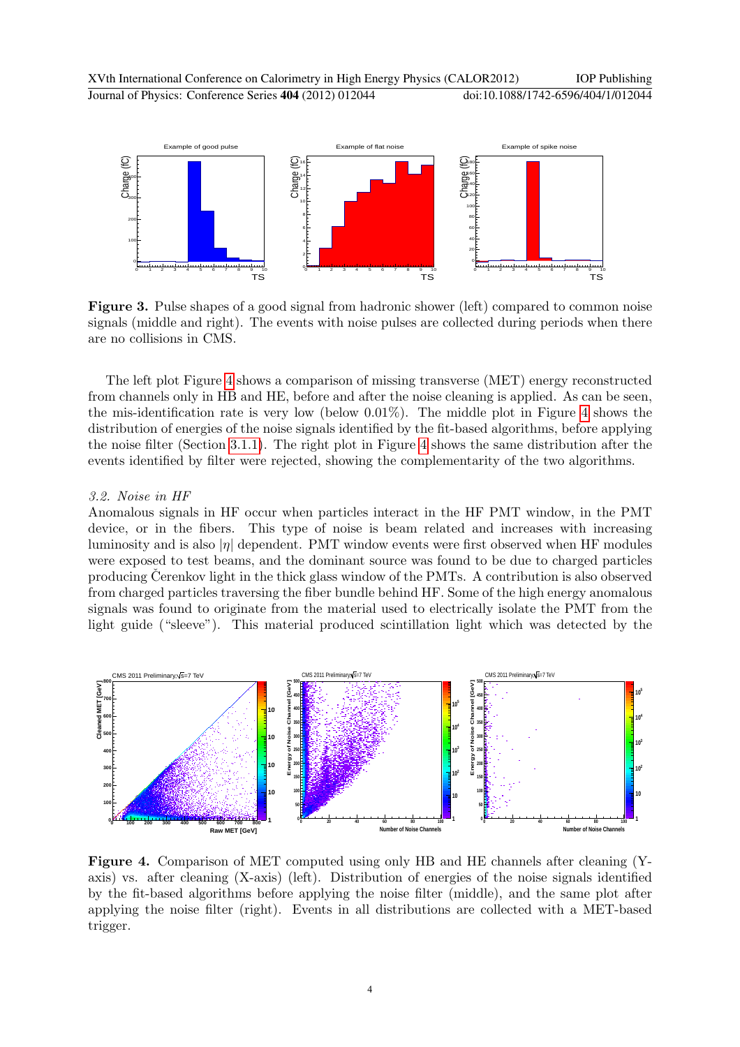

<span id="page-4-0"></span>Figure 3. Pulse shapes of a good signal from hadronic shower (left) compared to common noise signals (middle and right). The events with noise pulses are collected during periods when there are no collisions in CMS.

The left plot Figure [4](#page-4-1) shows a comparison of missing transverse (MET) energy reconstructed from channels only in HB and HE, before and after the noise cleaning is applied. As can be seen, the mis-identification rate is very low (below 0.01%). The middle plot in Figure [4](#page-4-1) shows the distribution of energies of the noise signals identified by the fit-based algorithms, before applying the noise filter (Section [3.1.1\)](#page-2-1). The right plot in Figure [4](#page-4-1) shows the same distribution after the events identified by filter were rejected, showing the complementarity of the two algorithms.

#### 3.2. Noise in HF

Anomalous signals in HF occur when particles interact in the HF PMT window, in the PMT device, or in the fibers. This type of noise is beam related and increases with increasing luminosity and is also  $|\eta|$  dependent. PMT window events were first observed when HF modules were exposed to test beams, and the dominant source was found to be due to charged particles producing Cerenkov light in the thick glass window of the PMTs. A contribution is also observed from charged particles traversing the fiber bundle behind HF. Some of the high energy anomalous signals was found to originate from the material used to electrically isolate the PMT from the light guide ("sleeve"). This material produced scintillation light which was detected by the



<span id="page-4-1"></span>Figure 4. Comparison of MET computed using only HB and HE channels after cleaning (Yaxis) vs. after cleaning (X-axis) (left). Distribution of energies of the noise signals identified by the fit-based algorithms before applying the noise filter (middle), and the same plot after applying the noise filter (right). Events in all distributions are collected with a MET-based trigger.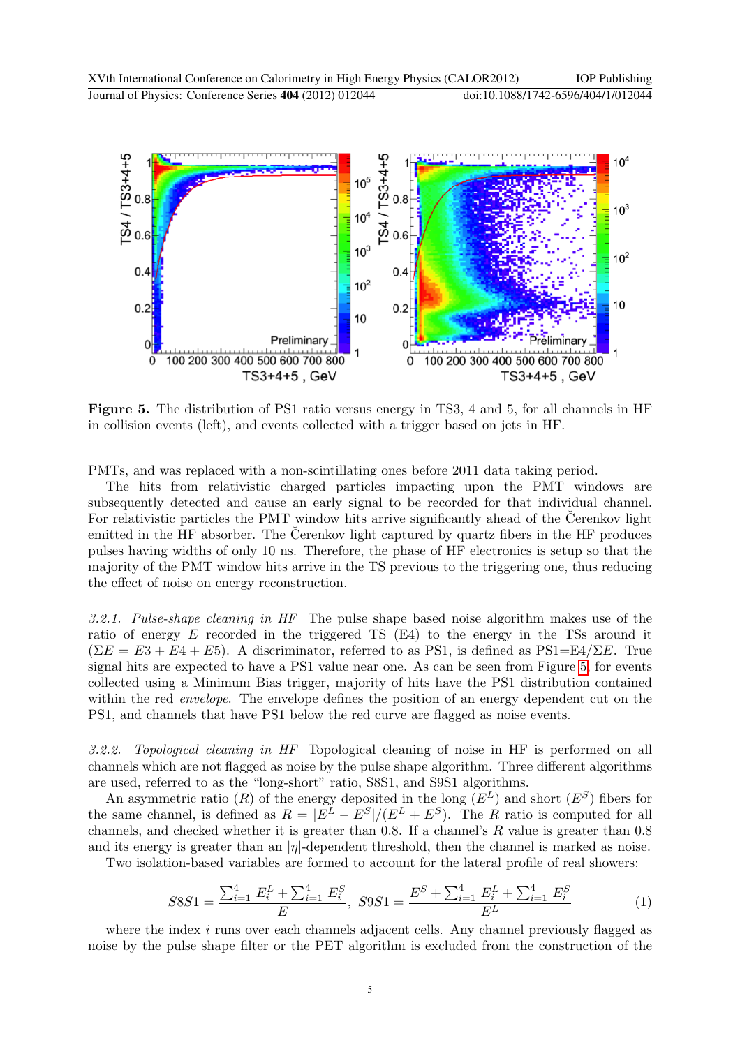

<span id="page-5-0"></span>Figure 5. The distribution of PS1 ratio versus energy in TS3, 4 and 5, for all channels in HF in collision events (left), and events collected with a trigger based on jets in HF.

PMTs, and was replaced with a non-scintillating ones before 2011 data taking period.

The hits from relativistic charged particles impacting upon the PMT windows are subsequently detected and cause an early signal to be recorded for that individual channel. For relativistic particles the PMT window hits arrive significantly ahead of the Cerenkov light emitted in the HF absorber. The Cerenkov light captured by quartz fibers in the HF produces pulses having widths of only 10 ns. Therefore, the phase of HF electronics is setup so that the majority of the PMT window hits arrive in the TS previous to the triggering one, thus reducing the effect of noise on energy reconstruction.

3.2.1. Pulse-shape cleaning in HF The pulse shape based noise algorithm makes use of the ratio of energy E recorded in the triggered TS (E4) to the energy in the TSs around it  $(\Sigma E = E3 + E4 + E5)$ . A discriminator, referred to as PS1, is defined as PS1=E4/ $\Sigma E$ . True signal hits are expected to have a PS1 value near one. As can be seen from Figure [5,](#page-5-0) for events collected using a Minimum Bias trigger, majority of hits have the PS1 distribution contained within the red *envelope*. The envelope defines the position of an energy dependent cut on the PS1, and channels that have PS1 below the red curve are flagged as noise events.

3.2.2. Topological cleaning in HF Topological cleaning of noise in HF is performed on all channels which are not flagged as noise by the pulse shape algorithm. Three different algorithms are used, referred to as the "long-short" ratio, S8S1, and S9S1 algorithms.

An asymmetric ratio  $(R)$  of the energy deposited in the long  $(E^L)$  and short  $(E^S)$  fibers for the same channel, is defined as  $R = |E^L - E^S|/(E^L + E^S)$ . The R ratio is computed for all channels, and checked whether it is greater than 0.8. If a channel's R value is greater than 0.8 and its energy is greater than an  $|\eta|$ -dependent threshold, then the channel is marked as noise.

Two isolation-based variables are formed to account for the lateral profile of real showers:

$$
SSS1 = \frac{\sum_{i=1}^{4} E_i^L + \sum_{i=1}^{4} E_i^S}{E}, \; S9S1 = \frac{E^S + \sum_{i=1}^{4} E_i^L + \sum_{i=1}^{4} E_i^S}{E^L}
$$
(1)

where the index  $i$  runs over each channels adjacent cells. Any channel previously flagged as noise by the pulse shape filter or the PET algorithm is excluded from the construction of the